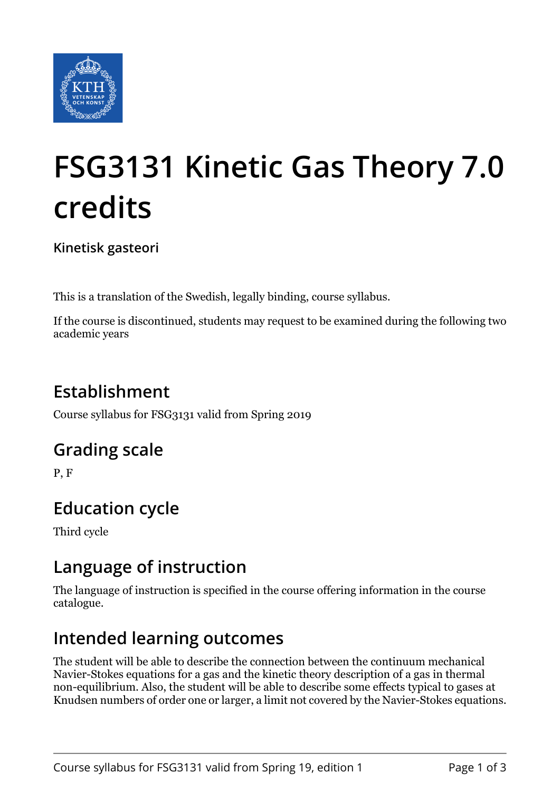

# **FSG3131 Kinetic Gas Theory 7.0 credits**

**Kinetisk gasteori**

This is a translation of the Swedish, legally binding, course syllabus.

If the course is discontinued, students may request to be examined during the following two academic years

# **Establishment**

Course syllabus for FSG3131 valid from Spring 2019

### **Grading scale**

P, F

# **Education cycle**

Third cycle

### **Language of instruction**

The language of instruction is specified in the course offering information in the course catalogue.

### **Intended learning outcomes**

The student will be able to describe the connection between the continuum mechanical Navier-Stokes equations for a gas and the kinetic theory description of a gas in thermal non-equilibrium. Also, the student will be able to describe some effects typical to gases at Knudsen numbers of order one or larger, a limit not covered by the Navier-Stokes equations.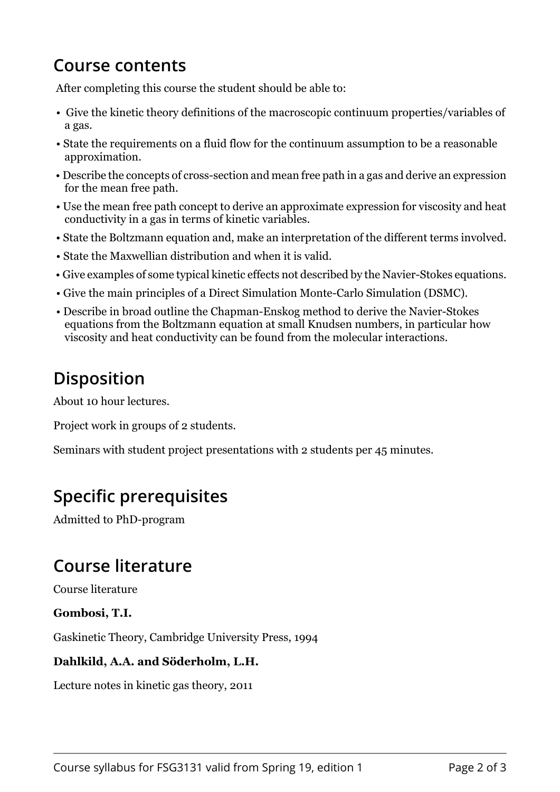# **Course contents**

After completing this course the student should be able to:

- Give the kinetic theory definitions of the macroscopic continuum properties/variables of a gas.
- State the requirements on a fluid flow for the continuum assumption to be a reasonable approximation.
- Describe the concepts of cross-section and mean free path in a gas and derive an expression for the mean free path.
- Use the mean free path concept to derive an approximate expression for viscosity and heat conductivity in a gas in terms of kinetic variables.
- State the Boltzmann equation and, make an interpretation of the different terms involved.
- State the Maxwellian distribution and when it is valid.
- Give examples of some typical kinetic effects not described by the Navier-Stokes equations.
- Give the main principles of a Direct Simulation Monte-Carlo Simulation (DSMC).
- Describe in broad outline the Chapman-Enskog method to derive the Navier-Stokes equations from the Boltzmann equation at small Knudsen numbers, in particular how viscosity and heat conductivity can be found from the molecular interactions.

# **Disposition**

About 10 hour lectures.

Project work in groups of 2 students.

Seminars with student project presentations with 2 students per 45 minutes.

# **Specific prerequisites**

Admitted to PhD-program

#### **Course literature**

Course literature

**Gombosi, T.T**

Gaskinetic Theory, Cambridge University Press, 1994

#### **Dahlkild, A.A. and Söderholm, L.H.**

Lecture notes in kinetic gas theory, 2011